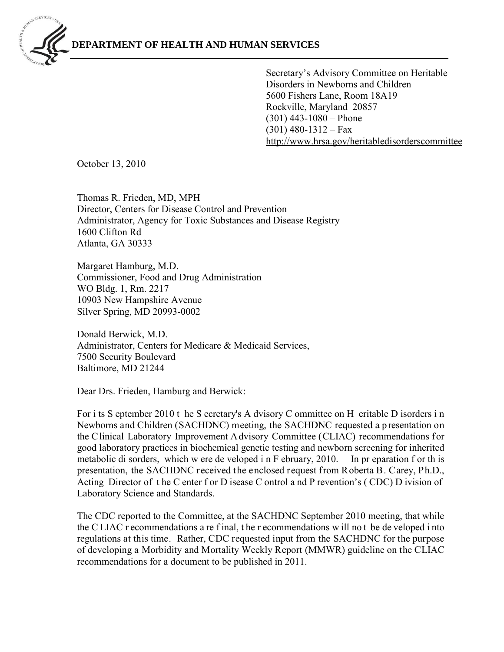

Secretary's Advisory Committee on Heritable Disorders in Newborns and Children 5600 Fishers Lane, Room 18A19 Rockville, Maryland 20857 (301) 443-1080 – Phone  $(301)$  480-1312 – Fax [http://www.hrsa.gov/heritabledisorderscomm](http://www.hrsa.gov/heritabledisorderscommittee)ittee

October 13, 2010

Thomas R. Frieden, MD, MPH Director, Centers for Disease Control and Prevention Administrator, Agency for Toxic Substances and Disease Registry 1600 Clifton Rd Atlanta, GA 30333

Margaret Hamburg, M.D. Commissioner, Food and Drug Administration WO Bldg. 1, Rm. 2217 10903 New Hampshire Avenue Silver Spring, MD 20993-0002

Donald Berwick, M.D. Administrator, Centers for Medicare & Medicaid Services, 7500 Security Boulevard Baltimore, MD 21244

Dear Drs. Frieden, Hamburg and Berwick:

For i ts S eptember 2010 t he S ecretary's A dvisory C ommittee on H eritable D isorders i n Newborns and Children (SACHDNC) meeting, the SACHDNC requested a p resentation on the Clinical Laboratory Improvement Advisory Committee (CLIAC) recommendations for good laboratory practices in biochemical genetic testing and newborn screening for inherited metabolic di sorders, which w ere de veloped i n F ebruary, 2010. In pr eparation f or th is presentation, the SACHDNC received the enclosed request from Roberta B. Carey, Ph.D., Acting Director of t he C enter f or D isease C ontrol a nd P revention's ( CDC) D ivision of Laboratory Science and Standards.

The CDC reported to the Committee, at the SACHDNC September 2010 meeting, that while the C LIAC r ecommendations a re f inal, t he r ecommendations w ill no t be de veloped i nto regulations at this time. Rather, CDC requested input from the SACHDNC for the purpose of developing a Morbidity and Mortality Weekly Report (MMWR) guideline on the CLIAC recommendations for a document to be published in 2011.